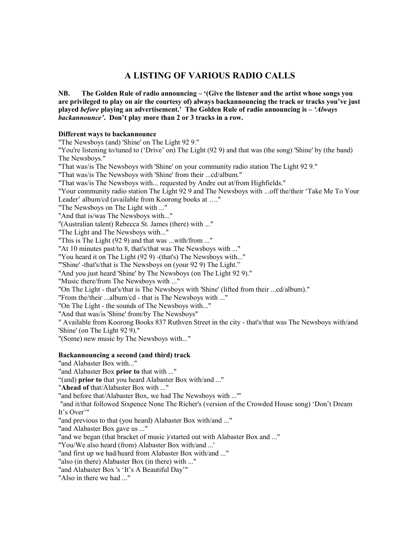# **A LISTING OF VARIOUS RADIO CALLS**

**NB. The Golden Rule of radio announcing ñ ë(Give the listener and the artist whose songs you are privileged to play on air the courtesy of) always backannouncing the track or tracks youíve just played before playing an** advertisement.<sup>*i*</sup> The Golden Rule of radio **announcing** is  $-$  'Always **backannounceí. Donít play more than 2 or 3 tracks in a row.**

# **Different ways to backannounce**

"The Newsboys (and) 'Shine' on The Light 92 9." "You're listening to/tuned to ('Drive' on) The Light (92 9) and that was (the song) 'Shine' by (the band) The Newsboys."

"That was/is The Newsboys with 'Shine' on your community radio station The Light 92 9."

"That was/is The Newsboys with 'Shine' from their ...cd/album."

"That was/is The Newsboys with... requested by Andre out at/from Highfields."

"Your community radio station The Light 92 9 and The Newsboys with ...off the/their 'Take Me To Your Leader' album/cd (available from Koorong books at ...."

"The Newsboys on The Light with ..."

"And that is/was The Newsboys with..."

"(Australian talent) Rebecca St. James (there) with ..."

"The Light and The Newsboys with..."

"This is The Light (92 9) and that was ...with/from ..."

"At 10 minutes past/to 8, that's/that was The Newsboys with ..."

"You heard it on The Light (92 9) -(that's) The Newsboys with..."

"'Shine' -that's/that is The Newsboys on (your 92 9) The Light."

"And you just heard 'Shine' by The Newsboys (on The Light 92 9)."

"Music there/from The Newsboys with ..."

"On The Light - that's/that is The Newsboys with 'Shine' (lifted from their ...cd/album)."

"From the/their ...album/cd - that is The Newsboys with ..."

"On The Light - the sounds of The Newsboys with..."

"And that was/is 'Shine' from/by The Newsboys"

" Available from Koorong Books 837 Ruthven Street in the city - that's/that was The Newsboys with/and 'Shine' (on The Light 92 9)."

"(Some) new music by The Newsboys with..."

# **Backannouncing a second (and third) track**

"and Alabaster Box with..."

"and Alabaster Box **prior to** that with ..."

ì(and) **prior to** that you heard Alabaster Box with/and ..."

"**Ahead of** that/Alabaster Box with ..."

"and before that/Alabaster Box, we had The Newsboys with ...'"

"and it/that followed Sixpence None The Richer's (version of the Crowded House song) 'Don't Dream It's Over'"

"and previous to that (you heard) Alabaster Box with/and ..."

"and Alabaster Box gave us ..."

"and we began (that bracket of music )/started out with Alabaster Box and ..."

"You/We also heard (from) Alabaster Box with/and ...'

"and first up we had/heard from Alabaster Box with/and ..."

"also (in there) Alabaster Box (in there) with ..."

"and Alabaster Box 's 'It's A Beautiful Day"

"Also in there we had ..."